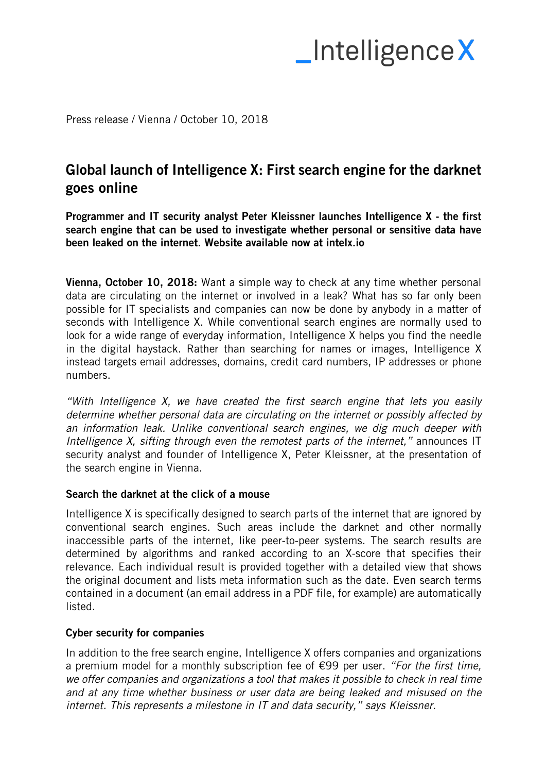# $\blacksquare$ Intelligence X

Press release / Vienna / October 10, 2018

### Global launch of Intelligence X: First search engine for the darknet goes online

Programmer and IT security analyst Peter Kleissner launches Intelligence X - the first search engine that can be used to investigate whether personal or sensitive data have been leaked on the internet. Website available now at intelx.io

Vienna, October 10, 2018: Want a simple way to check at any time whether personal data are circulating on the internet or involved in a leak? What has so far only been possible for IT specialists and companies can now be done by anybody in a matter of seconds with Intelligence X. While conventional search engines are normally used to look for a wide range of everyday information, Intelligence X helps you find the needle in the digital haystack. Rather than searching for names or images, Intelligence X instead targets email addresses, domains, credit card numbers, IP addresses or phone numbers.

*"With Intelligence X, we have created the first search engine that lets you easily determine whether personal data are circulating on the internet or possibly affected by an information leak. Unlike conventional search engines, we dig much deeper with Intelligence X, sifting through even the remotest parts of the internet,"* announces IT security analyst and founder of Intelligence X, Peter Kleissner, at the presentation of the search engine in Vienna.

### Search the darknet at the click of a mouse

Intelligence X is specifically designed to search parts of the internet that are ignored by conventional search engines. Such areas include the darknet and other normally inaccessible parts of the internet, like peer-to-peer systems. The search results are determined by algorithms and ranked according to an X-score that specifies their relevance. Each individual result is provided together with a detailed view that shows the original document and lists meta information such as the date. Even search terms contained in a document (an email address in a PDF file, for example) are automatically listed.

### Cyber security for companies

In addition to the free search engine, Intelligence X offers companies and organizations a premium model for a monthly subscription fee of €99 per user. *"For the first time, we offer companies and organizations a tool that makes it possible to check in real time and at any time whether business or user data are being leaked and misused on the internet. This represents a milestone in IT and data security," says Kleissner.*